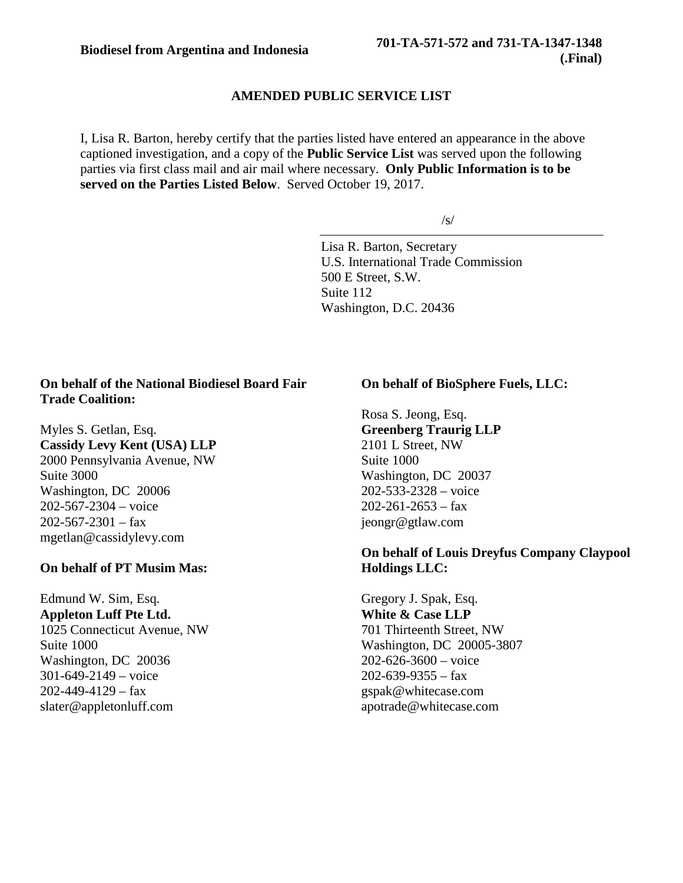#### **AMENDED PUBLIC SERVICE LIST**

I, Lisa R. Barton, hereby certify that the parties listed have entered an appearance in the above captioned investigation, and a copy of the **Public Service List** was served upon the following parties via first class mail and air mail where necessary. **Only Public Information is to be served on the Parties Listed Below**. Served October 19, 2017.

/s/

Lisa R. Barton, Secretary U.S. International Trade Commission 500 E Street, S.W. Suite 112 Washington, D.C. 20436

#### **On behalf of the National Biodiesel Board Fair Trade Coalition:**

Myles S. Getlan, Esq. **Cassidy Levy Kent (USA) LLP** 2000 Pennsylvania Avenue, NW Suite 3000 Washington, DC 20006 202-567-2304 – voice  $202 - 567 - 2301 - fax$ mgetlan@cassidylevy.com

#### **On behalf of PT Musim Mas:**

Edmund W. Sim, Esq. **Appleton Luff Pte Ltd.** 1025 Connecticut Avenue, NW Suite 1000 Washington, DC 20036 301-649-2149 – voice 202-449-4129 – fax slater@appletonluff.com

### **On behalf of BioSphere Fuels, LLC:**

Rosa S. Jeong, Esq. **Greenberg Traurig LLP** 2101 L Street, NW Suite 1000 Washington, DC 20037 202-533-2328 – voice  $202 - 261 - 2653 - fax$ jeongr@gtlaw.com

#### **On behalf of Louis Dreyfus Company Claypool Holdings LLC:**

Gregory J. Spak, Esq. **White & Case LLP** 701 Thirteenth Street, NW Washington, DC 20005-3807 202-626-3600 – voice  $202 - 639 - 9355 - fax$ gspak@whitecase.com apotrade@whitecase.com